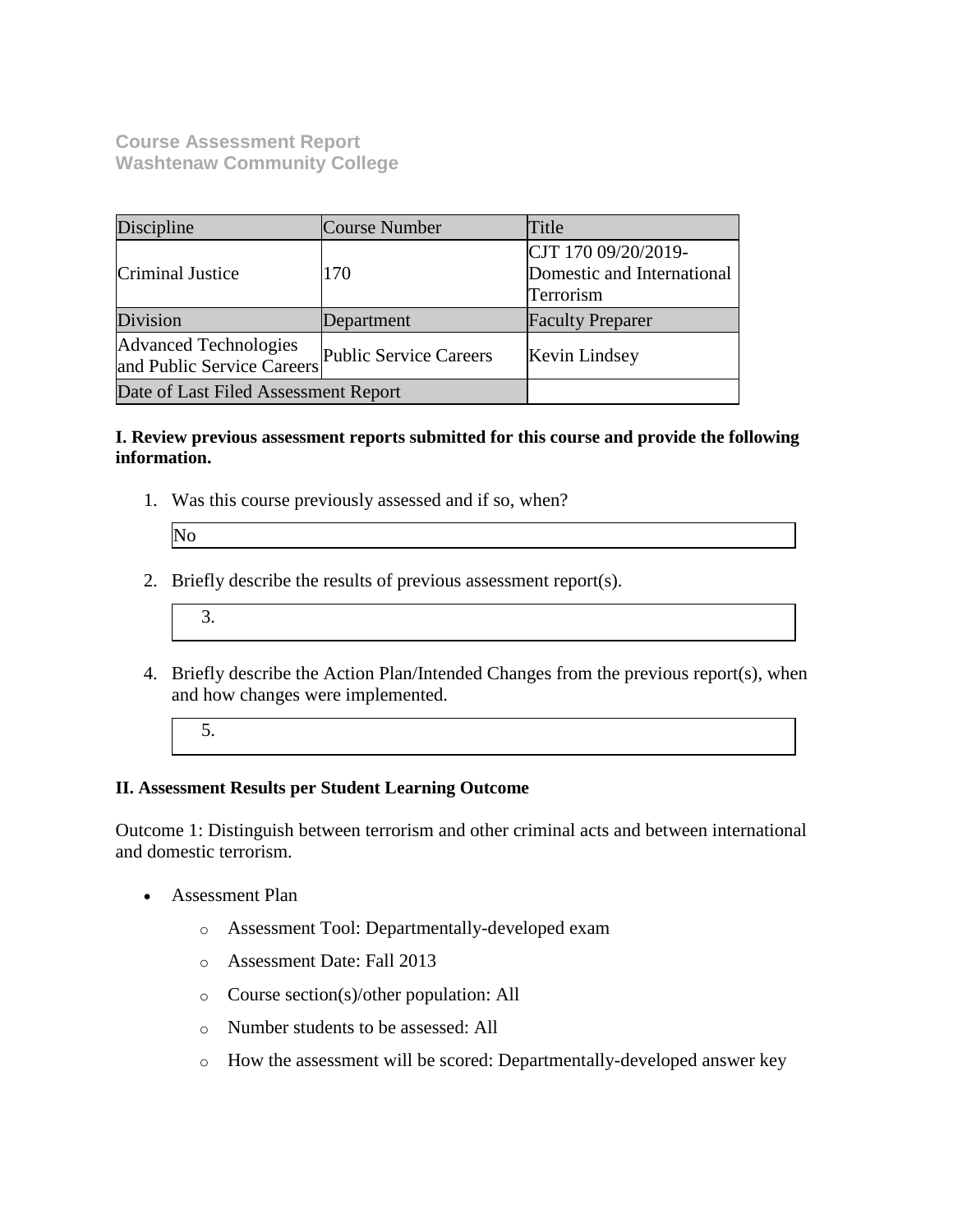**Course Assessment Report Washtenaw Community College**

| Discipline                                                 | Course Number                 | Title                                                          |
|------------------------------------------------------------|-------------------------------|----------------------------------------------------------------|
| Criminal Justice                                           | 170                           | CJT 170 09/20/2019-<br>Domestic and International<br>Terrorism |
| Division                                                   | Department                    | <b>Faculty Preparer</b>                                        |
| <b>Advanced Technologies</b><br>and Public Service Careers | <b>Public Service Careers</b> | Kevin Lindsey                                                  |
| Date of Last Filed Assessment Report                       |                               |                                                                |

#### **I. Review previous assessment reports submitted for this course and provide the following information.**

1. Was this course previously assessed and if so, when?

| N <sub>i</sub> |  |  |
|----------------|--|--|
|                |  |  |
|                |  |  |
|                |  |  |

- 2. Briefly describe the results of previous assessment report(s).
	- 3.
- 4. Briefly describe the Action Plan/Intended Changes from the previous report(s), when and how changes were implemented.
	- 5.

## **II. Assessment Results per Student Learning Outcome**

Outcome 1: Distinguish between terrorism and other criminal acts and between international and domestic terrorism.

- Assessment Plan
	- o Assessment Tool: Departmentally-developed exam
	- o Assessment Date: Fall 2013
	- o Course section(s)/other population: All
	- o Number students to be assessed: All
	- o How the assessment will be scored: Departmentally-developed answer key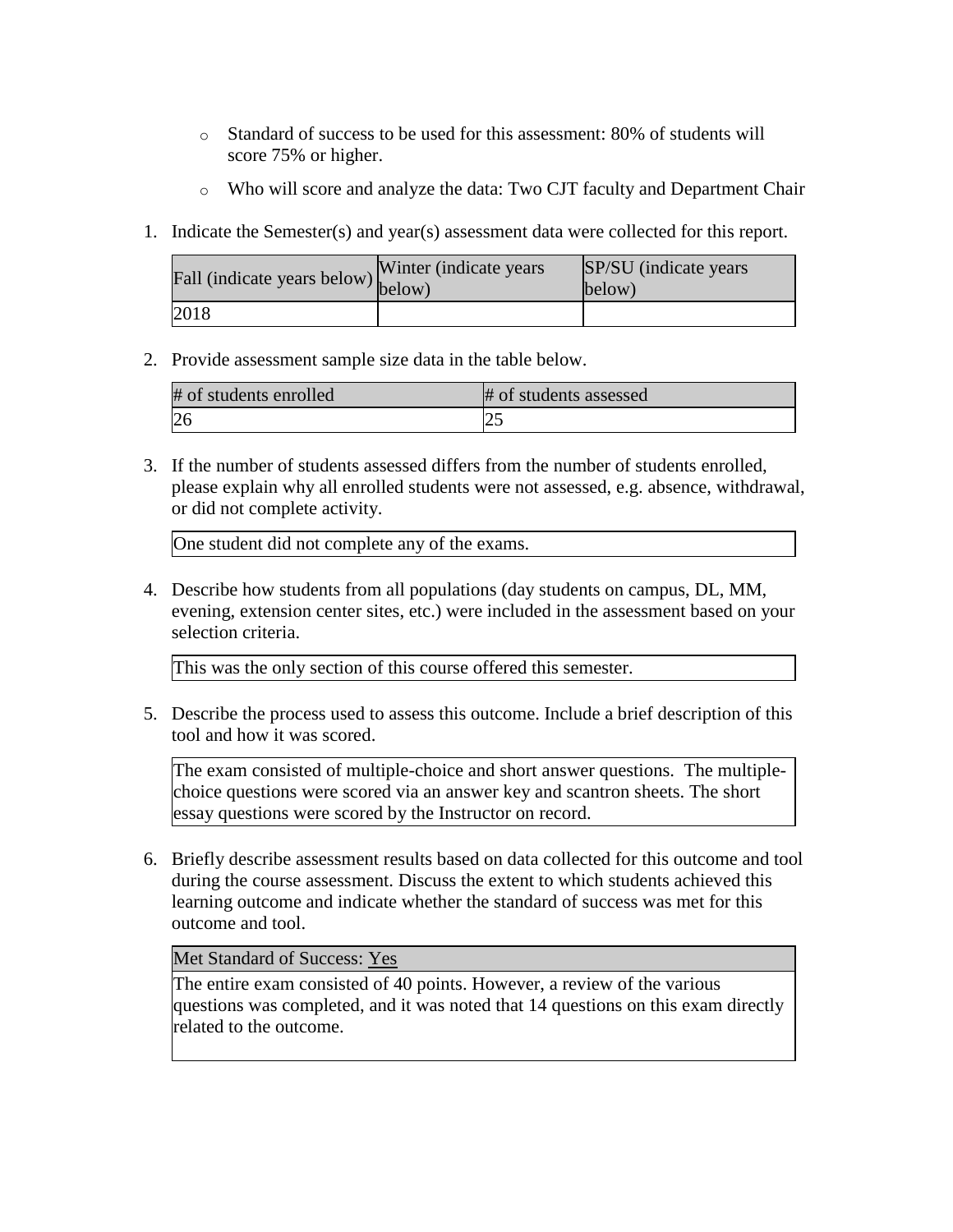- o Standard of success to be used for this assessment: 80% of students will score 75% or higher.
- o Who will score and analyze the data: Two CJT faculty and Department Chair
- 1. Indicate the Semester(s) and year(s) assessment data were collected for this report.

| Fall (indicate years below) below) | Winter (indicate years) | SP/SU (indicate years)<br>below) |
|------------------------------------|-------------------------|----------------------------------|
| 2018                               |                         |                                  |

2. Provide assessment sample size data in the table below.

| # of students enrolled | # of students assessed |
|------------------------|------------------------|
|                        |                        |

3. If the number of students assessed differs from the number of students enrolled, please explain why all enrolled students were not assessed, e.g. absence, withdrawal, or did not complete activity.

One student did not complete any of the exams.

4. Describe how students from all populations (day students on campus, DL, MM, evening, extension center sites, etc.) were included in the assessment based on your selection criteria.

This was the only section of this course offered this semester.

5. Describe the process used to assess this outcome. Include a brief description of this tool and how it was scored.

The exam consisted of multiple-choice and short answer questions. The multiplechoice questions were scored via an answer key and scantron sheets. The short essay questions were scored by the Instructor on record.

6. Briefly describe assessment results based on data collected for this outcome and tool during the course assessment. Discuss the extent to which students achieved this learning outcome and indicate whether the standard of success was met for this outcome and tool.

### Met Standard of Success: Yes

The entire exam consisted of 40 points. However, a review of the various questions was completed, and it was noted that 14 questions on this exam directly related to the outcome.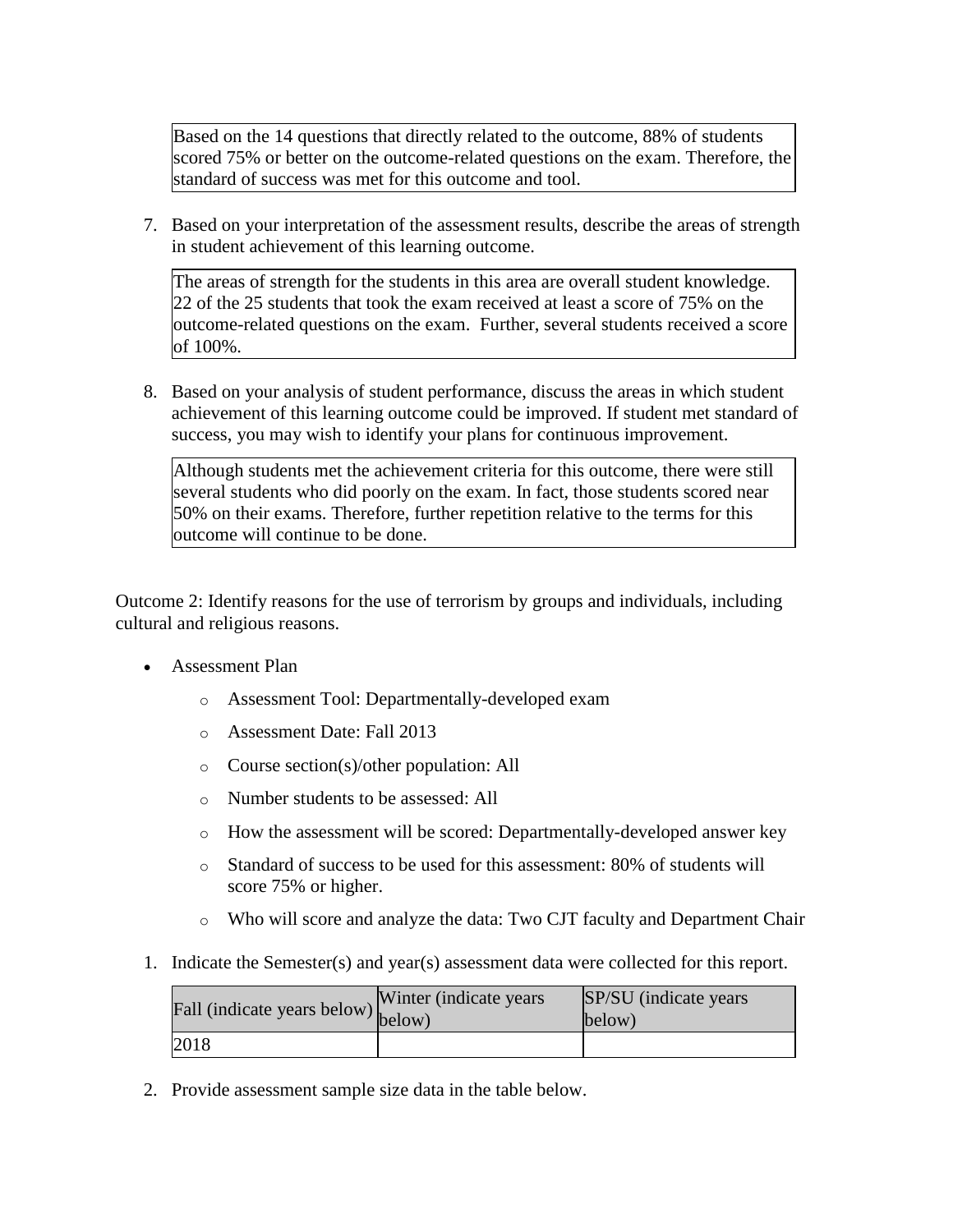Based on the 14 questions that directly related to the outcome, 88% of students scored 75% or better on the outcome-related questions on the exam. Therefore, the standard of success was met for this outcome and tool.

7. Based on your interpretation of the assessment results, describe the areas of strength in student achievement of this learning outcome.

The areas of strength for the students in this area are overall student knowledge. 22 of the 25 students that took the exam received at least a score of 75% on the outcome-related questions on the exam. Further, several students received a score of 100%.

8. Based on your analysis of student performance, discuss the areas in which student achievement of this learning outcome could be improved. If student met standard of success, you may wish to identify your plans for continuous improvement.

Although students met the achievement criteria for this outcome, there were still several students who did poorly on the exam. In fact, those students scored near 50% on their exams. Therefore, further repetition relative to the terms for this outcome will continue to be done.

Outcome 2: Identify reasons for the use of terrorism by groups and individuals, including cultural and religious reasons.

- Assessment Plan
	- o Assessment Tool: Departmentally-developed exam
	- o Assessment Date: Fall 2013
	- o Course section(s)/other population: All
	- o Number students to be assessed: All
	- o How the assessment will be scored: Departmentally-developed answer key
	- o Standard of success to be used for this assessment: 80% of students will score 75% or higher.
	- o Who will score and analyze the data: Two CJT faculty and Department Chair
- 1. Indicate the Semester(s) and year(s) assessment data were collected for this report.

| riall (indicate years below) below) | Winter (indicate years) | SP/SU (indicate years)<br>below) |
|-------------------------------------|-------------------------|----------------------------------|
| 2018                                |                         |                                  |

2. Provide assessment sample size data in the table below.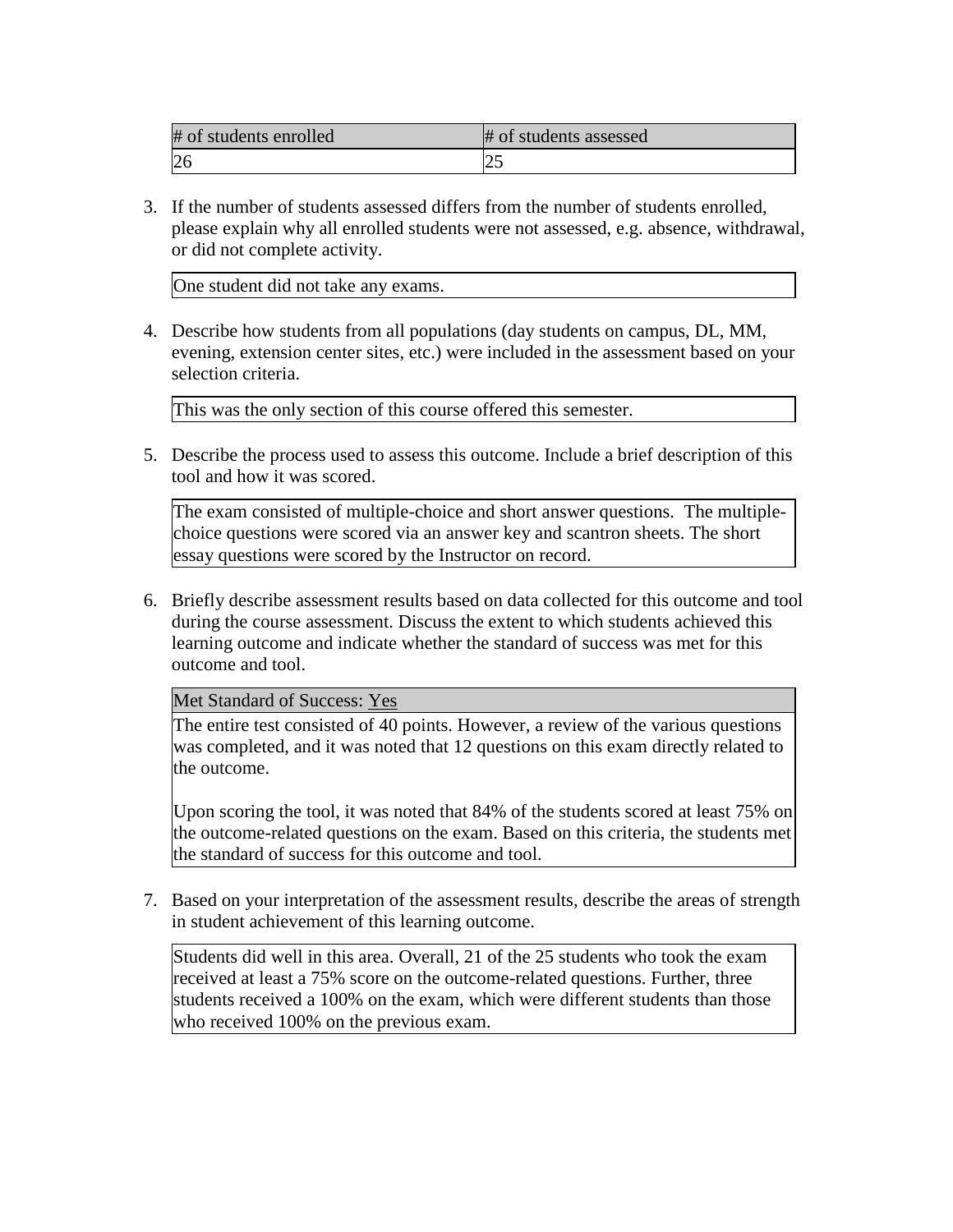| # of students enrolled | # of students assessed |
|------------------------|------------------------|
|                        | ت                      |

3. If the number of students assessed differs from the number of students enrolled, please explain why all enrolled students were not assessed, e.g. absence, withdrawal, or did not complete activity.

One student did not take any exams.

4. Describe how students from all populations (day students on campus, DL, MM, evening, extension center sites, etc.) were included in the assessment based on your selection criteria.

This was the only section of this course offered this semester.

5. Describe the process used to assess this outcome. Include a brief description of this tool and how it was scored.

The exam consisted of multiple-choice and short answer questions. The multiplechoice questions were scored via an answer key and scantron sheets. The short essay questions were scored by the Instructor on record.

6. Briefly describe assessment results based on data collected for this outcome and tool during the course assessment. Discuss the extent to which students achieved this learning outcome and indicate whether the standard of success was met for this outcome and tool.

Met Standard of Success: Yes

The entire test consisted of 40 points. However, a review of the various questions was completed, and it was noted that 12 questions on this exam directly related to the outcome.

Upon scoring the tool, it was noted that 84% of the students scored at least 75% on the outcome-related questions on the exam. Based on this criteria, the students met the standard of success for this outcome and tool.

7. Based on your interpretation of the assessment results, describe the areas of strength in student achievement of this learning outcome.

Students did well in this area. Overall, 21 of the 25 students who took the exam received at least a 75% score on the outcome-related questions. Further, three students received a 100% on the exam, which were different students than those who received 100% on the previous exam.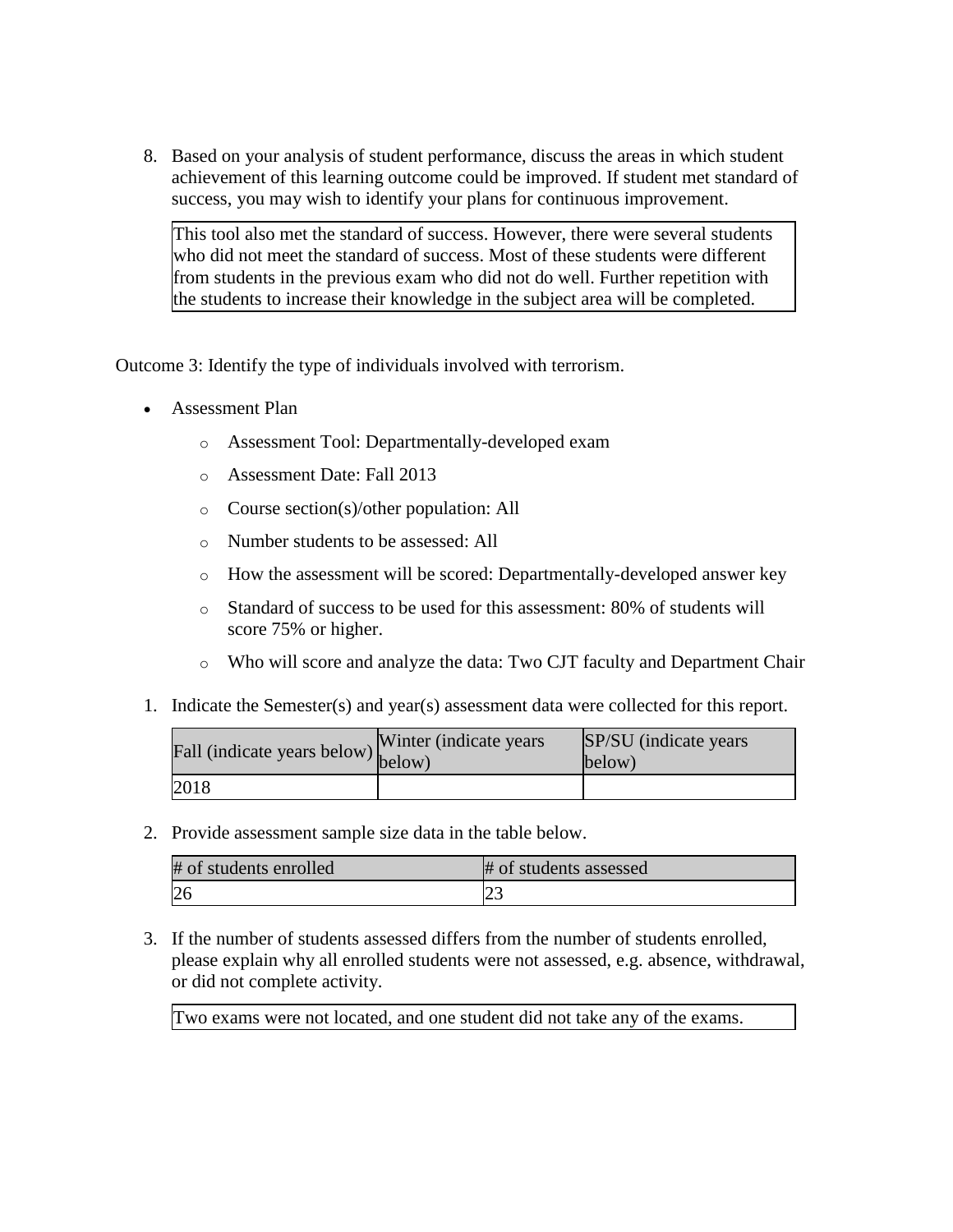8. Based on your analysis of student performance, discuss the areas in which student achievement of this learning outcome could be improved. If student met standard of success, you may wish to identify your plans for continuous improvement.

This tool also met the standard of success. However, there were several students who did not meet the standard of success. Most of these students were different from students in the previous exam who did not do well. Further repetition with the students to increase their knowledge in the subject area will be completed.

Outcome 3: Identify the type of individuals involved with terrorism.

- Assessment Plan
	- o Assessment Tool: Departmentally-developed exam
	- o Assessment Date: Fall 2013
	- o Course section(s)/other population: All
	- o Number students to be assessed: All
	- o How the assessment will be scored: Departmentally-developed answer key
	- o Standard of success to be used for this assessment: 80% of students will score 75% or higher.
	- o Who will score and analyze the data: Two CJT faculty and Department Chair
- 1. Indicate the Semester(s) and year(s) assessment data were collected for this report.

| rall (indicate years below) below) | Winter (indicate years) | SP/SU (indicate years)<br>below) |
|------------------------------------|-------------------------|----------------------------------|
| 2018                               |                         |                                  |

2. Provide assessment sample size data in the table below.

| # of students enrolled | # of students assessed |
|------------------------|------------------------|
| 26                     | ت                      |

3. If the number of students assessed differs from the number of students enrolled, please explain why all enrolled students were not assessed, e.g. absence, withdrawal, or did not complete activity.

Two exams were not located, and one student did not take any of the exams.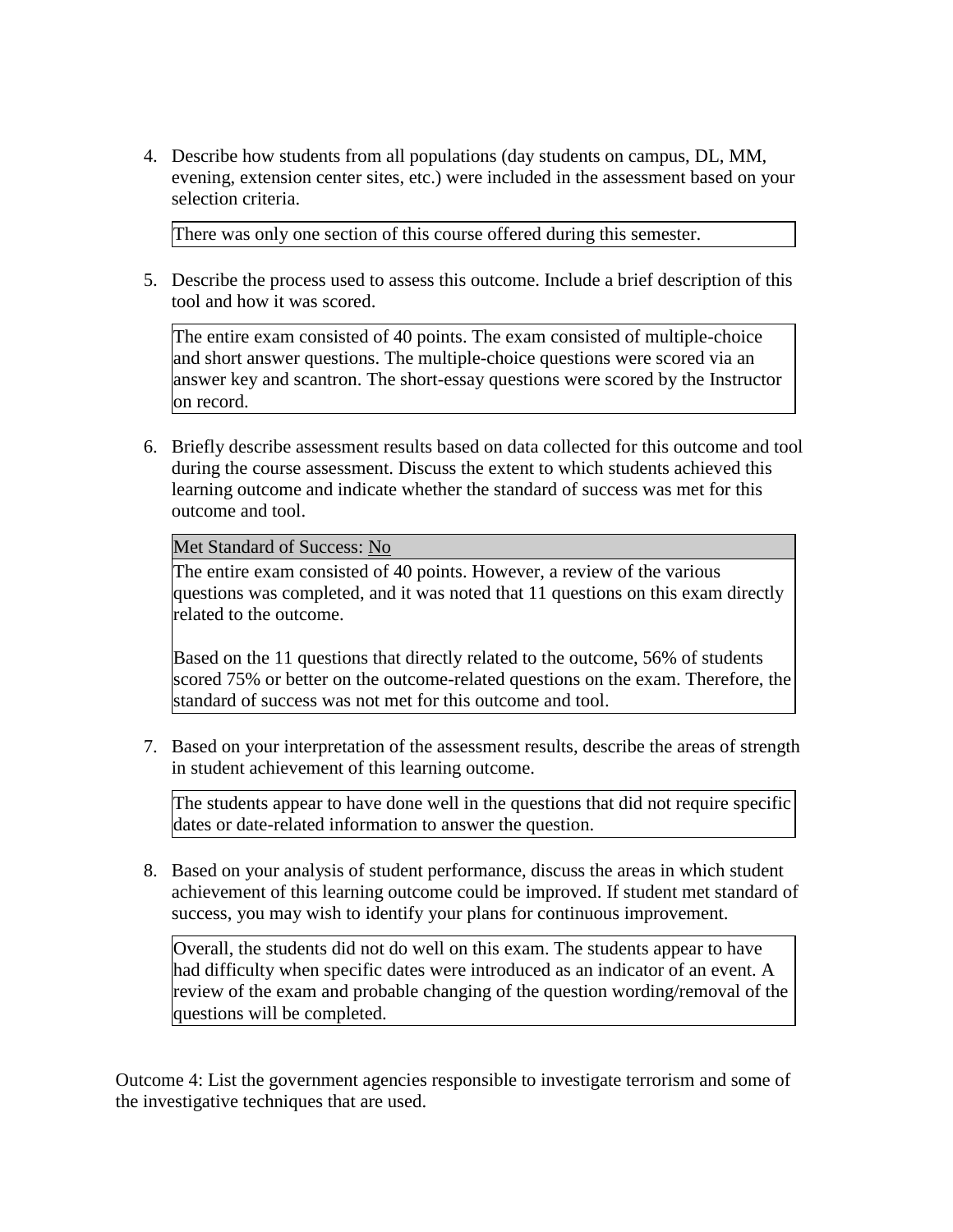4. Describe how students from all populations (day students on campus, DL, MM, evening, extension center sites, etc.) were included in the assessment based on your selection criteria.

There was only one section of this course offered during this semester.

5. Describe the process used to assess this outcome. Include a brief description of this tool and how it was scored.

The entire exam consisted of 40 points. The exam consisted of multiple-choice and short answer questions. The multiple-choice questions were scored via an answer key and scantron. The short-essay questions were scored by the Instructor on record.

6. Briefly describe assessment results based on data collected for this outcome and tool during the course assessment. Discuss the extent to which students achieved this learning outcome and indicate whether the standard of success was met for this outcome and tool.

Met Standard of Success: No

The entire exam consisted of 40 points. However, a review of the various questions was completed, and it was noted that 11 questions on this exam directly related to the outcome.

Based on the 11 questions that directly related to the outcome, 56% of students scored 75% or better on the outcome-related questions on the exam. Therefore, the standard of success was not met for this outcome and tool.

7. Based on your interpretation of the assessment results, describe the areas of strength in student achievement of this learning outcome.

The students appear to have done well in the questions that did not require specific dates or date-related information to answer the question.

8. Based on your analysis of student performance, discuss the areas in which student achievement of this learning outcome could be improved. If student met standard of success, you may wish to identify your plans for continuous improvement.

Overall, the students did not do well on this exam. The students appear to have had difficulty when specific dates were introduced as an indicator of an event. A review of the exam and probable changing of the question wording/removal of the questions will be completed.

Outcome 4: List the government agencies responsible to investigate terrorism and some of the investigative techniques that are used.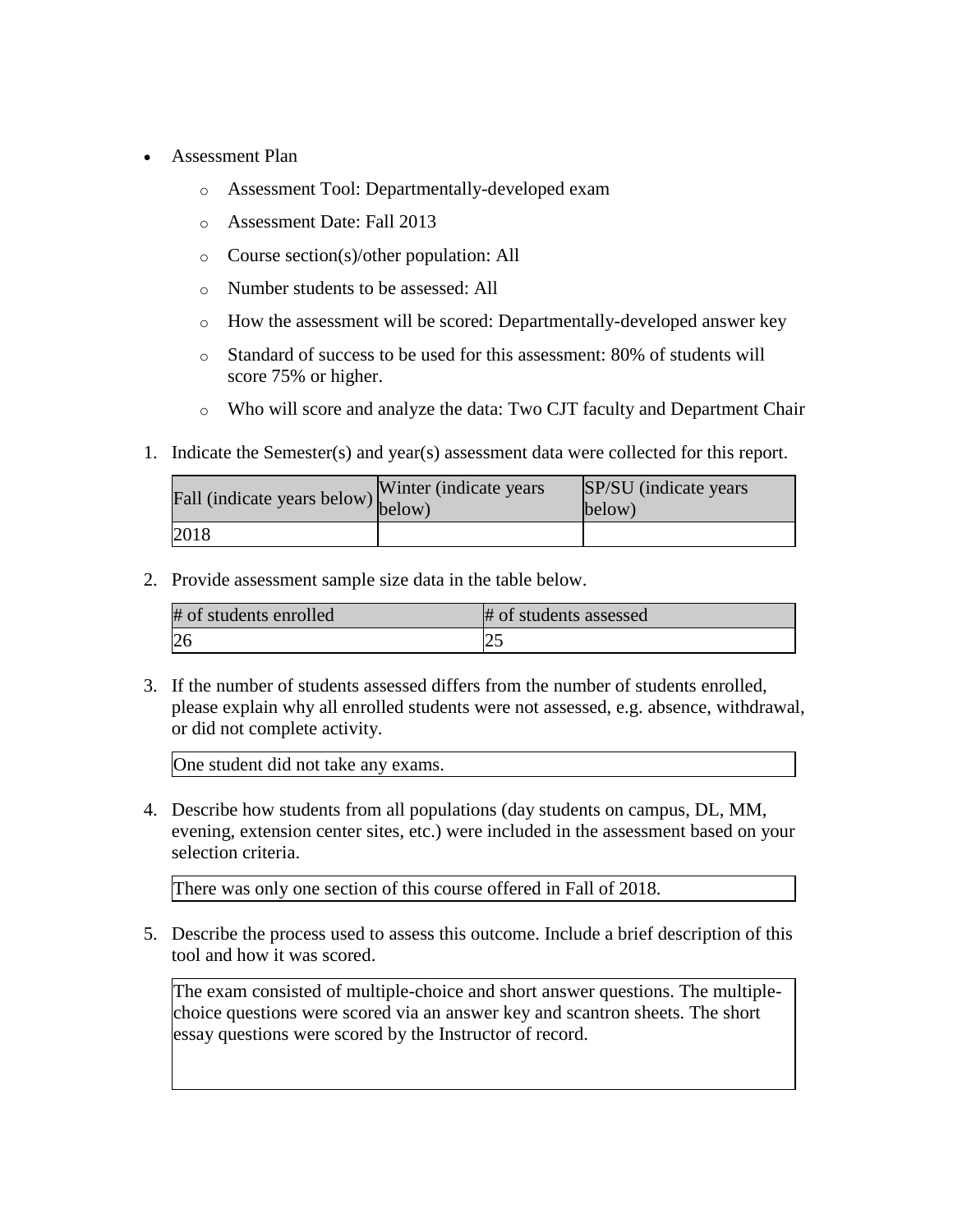- Assessment Plan
	- o Assessment Tool: Departmentally-developed exam
	- o Assessment Date: Fall 2013
	- o Course section(s)/other population: All
	- o Number students to be assessed: All
	- o How the assessment will be scored: Departmentally-developed answer key
	- o Standard of success to be used for this assessment: 80% of students will score 75% or higher.
	- o Who will score and analyze the data: Two CJT faculty and Department Chair
- 1. Indicate the Semester(s) and year(s) assessment data were collected for this report.

| Fall (indicate years below) below) | Winter (indicate years) | SP/SU (indicate years)<br>below) |
|------------------------------------|-------------------------|----------------------------------|
| 2018                               |                         |                                  |

2. Provide assessment sample size data in the table below.

| # of students enrolled | # of students assessed |
|------------------------|------------------------|
| 26                     | ∼                      |

3. If the number of students assessed differs from the number of students enrolled, please explain why all enrolled students were not assessed, e.g. absence, withdrawal, or did not complete activity.

One student did not take any exams.

4. Describe how students from all populations (day students on campus, DL, MM, evening, extension center sites, etc.) were included in the assessment based on your selection criteria.

There was only one section of this course offered in Fall of 2018.

5. Describe the process used to assess this outcome. Include a brief description of this tool and how it was scored.

The exam consisted of multiple-choice and short answer questions. The multiplechoice questions were scored via an answer key and scantron sheets. The short essay questions were scored by the Instructor of record.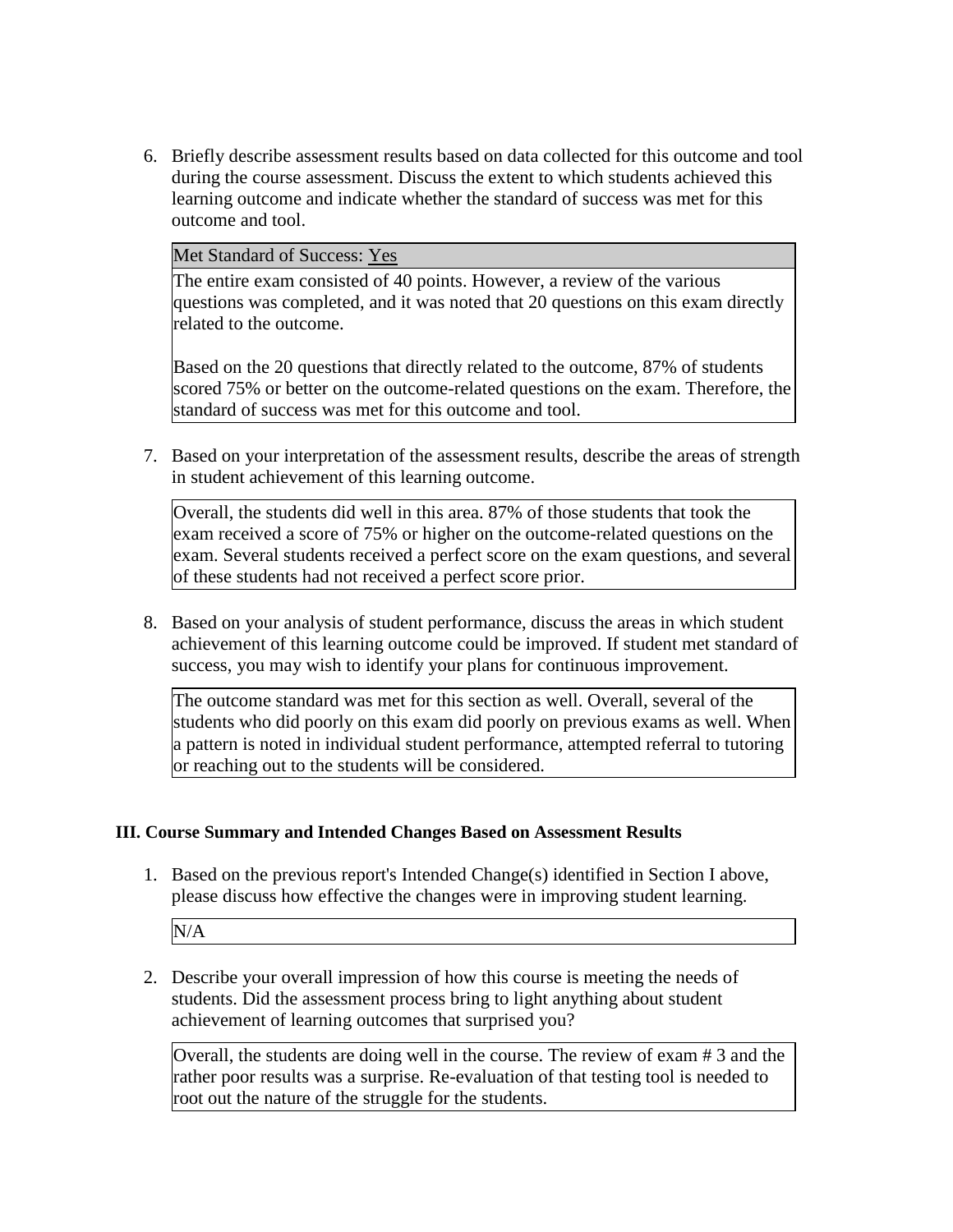6. Briefly describe assessment results based on data collected for this outcome and tool during the course assessment. Discuss the extent to which students achieved this learning outcome and indicate whether the standard of success was met for this outcome and tool.

Met Standard of Success: Yes

The entire exam consisted of 40 points. However, a review of the various questions was completed, and it was noted that 20 questions on this exam directly related to the outcome.

Based on the 20 questions that directly related to the outcome, 87% of students scored 75% or better on the outcome-related questions on the exam. Therefore, the standard of success was met for this outcome and tool.

7. Based on your interpretation of the assessment results, describe the areas of strength in student achievement of this learning outcome.

Overall, the students did well in this area. 87% of those students that took the exam received a score of 75% or higher on the outcome-related questions on the exam. Several students received a perfect score on the exam questions, and several of these students had not received a perfect score prior.

8. Based on your analysis of student performance, discuss the areas in which student achievement of this learning outcome could be improved. If student met standard of success, you may wish to identify your plans for continuous improvement.

The outcome standard was met for this section as well. Overall, several of the students who did poorly on this exam did poorly on previous exams as well. When a pattern is noted in individual student performance, attempted referral to tutoring or reaching out to the students will be considered.

#### **III. Course Summary and Intended Changes Based on Assessment Results**

1. Based on the previous report's Intended Change(s) identified in Section I above, please discuss how effective the changes were in improving student learning.

N/A

2. Describe your overall impression of how this course is meeting the needs of students. Did the assessment process bring to light anything about student achievement of learning outcomes that surprised you?

Overall, the students are doing well in the course. The review of exam # 3 and the rather poor results was a surprise. Re-evaluation of that testing tool is needed to root out the nature of the struggle for the students.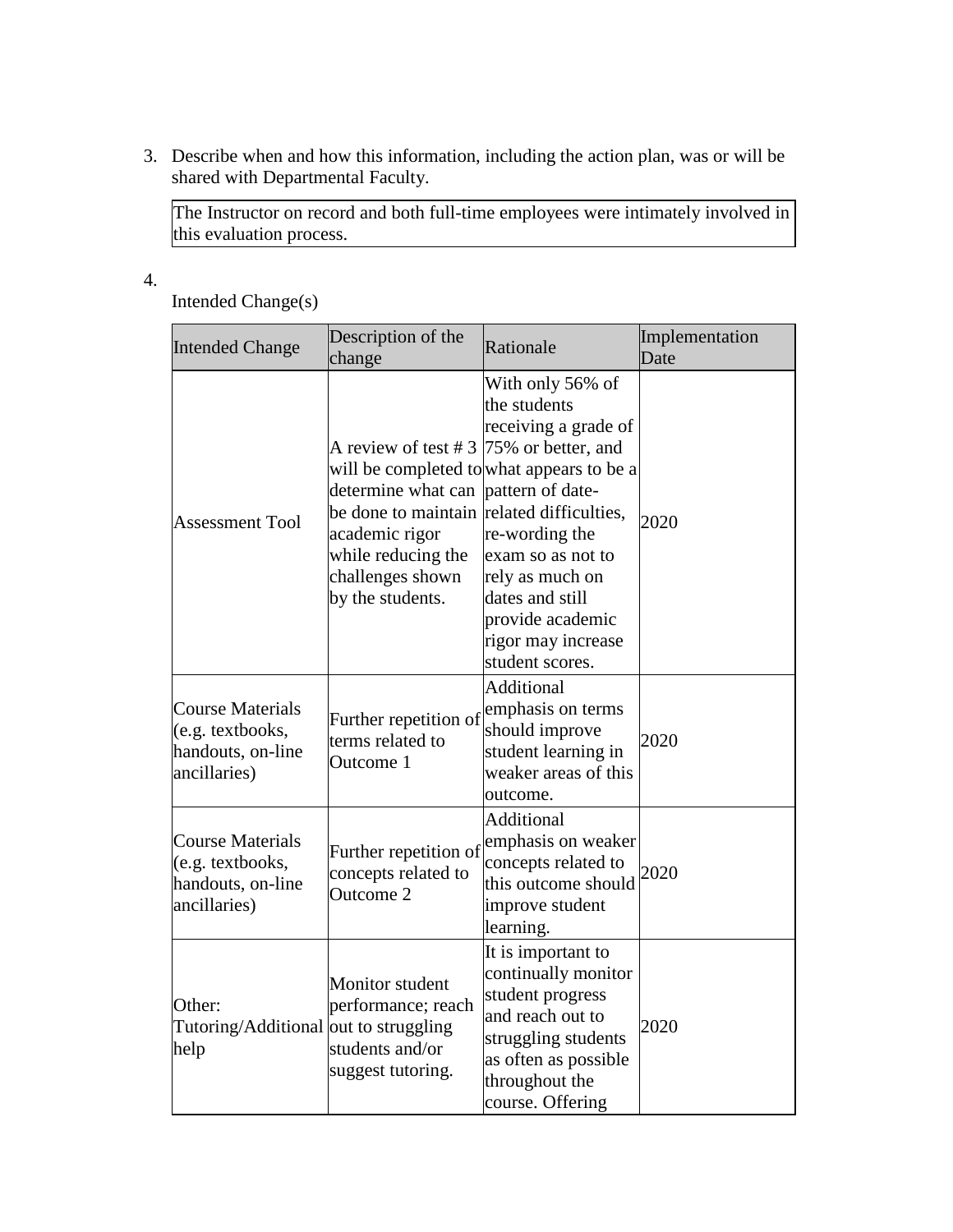3. Describe when and how this information, including the action plan, was or will be shared with Departmental Faculty.

The Instructor on record and both full-time employees were intimately involved in this evaluation process.

4.

Intended Change(s)

| <b>Intended Change</b>                                                           | Description of the<br>change                                                                                                                                                                                    | Rationale                                                                                                                                                                                                                                       | Implementation<br>Date |
|----------------------------------------------------------------------------------|-----------------------------------------------------------------------------------------------------------------------------------------------------------------------------------------------------------------|-------------------------------------------------------------------------------------------------------------------------------------------------------------------------------------------------------------------------------------------------|------------------------|
| <b>Assessment Tool</b>                                                           | A review of test # 3 $ 75\%$ or better, and<br>determine what can pattern of date-<br>be done to maintain related difficulties,<br>academic rigor<br>while reducing the<br>challenges shown<br>by the students. | With only 56% of<br>the students<br>receiving a grade of<br>will be completed to what appears to be a<br>re-wording the<br>exam so as not to<br>rely as much on<br>dates and still<br>provide academic<br>rigor may increase<br>student scores. | 2020                   |
| <b>Course Materials</b><br>(e.g. textbooks,<br>handouts, on-line<br>ancillaries) | Further repetition of<br>terms related to<br>Outcome 1                                                                                                                                                          | Additional<br>emphasis on terms<br>should improve<br>student learning in<br>weaker areas of this<br>outcome.                                                                                                                                    | 2020                   |
| <b>Course Materials</b><br>(e.g. textbooks,<br>handouts, on-line<br>ancillaries) | Further repetition of<br>concepts related to<br>Outcome 2                                                                                                                                                       | <b>Additional</b><br>emphasis on weaker<br>concepts related to<br>this outcome should<br>improve student<br>learning.                                                                                                                           | 2020                   |
| Other:<br>Tutoring/Additional out to struggling<br>help                          | Monitor student<br>performance; reach<br>students and/or<br>suggest tutoring.                                                                                                                                   | It is important to<br>continually monitor<br>student progress<br>and reach out to<br>struggling students<br>as often as possible<br>throughout the<br>course. Offering                                                                          | 2020                   |